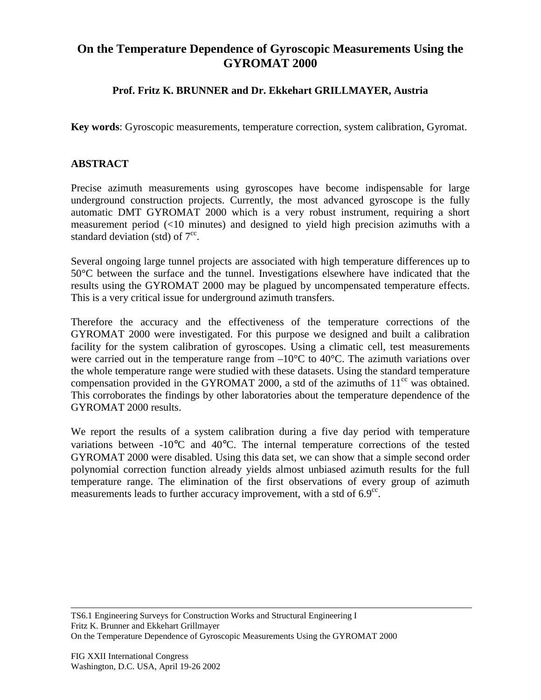## **On the Temperature Dependence of Gyroscopic Measurements Using the GYROMAT 2000**

## **Prof. Fritz K. BRUNNER and Dr. Ekkehart GRILLMAYER, Austria**

**Key words**: Gyroscopic measurements, temperature correction, system calibration, Gyromat.

## **ABSTRACT**

Precise azimuth measurements using gyroscopes have become indispensable for large underground construction projects. Currently, the most advanced gyroscope is the fully automatic DMT GYROMAT 2000 which is a very robust instrument, requiring a short measurement period (<10 minutes) and designed to yield high precision azimuths with a standard deviation (std) of  $7^{\circ}$ .

Several ongoing large tunnel projects are associated with high temperature differences up to 50°C between the surface and the tunnel. Investigations elsewhere have indicated that the results using the GYROMAT 2000 may be plagued by uncompensated temperature effects. This is a very critical issue for underground azimuth transfers.

Therefore the accuracy and the effectiveness of the temperature corrections of the GYROMAT 2000 were investigated. For this purpose we designed and built a calibration facility for the system calibration of gyroscopes. Using a climatic cell, test measurements were carried out in the temperature range from  $-10^{\circ}$ C to 40°C. The azimuth variations over the whole temperature range were studied with these datasets. Using the standard temperature compensation provided in the GYROMAT 2000, a std of the azimuths of  $11<sup>cc</sup>$  was obtained. This corroborates the findings by other laboratories about the temperature dependence of the GYROMAT 2000 results.

We report the results of a system calibration during a five day period with temperature variations between -10°C and 40°C. The internal temperature corrections of the tested GYROMAT 2000 were disabled. Using this data set, we can show that a simple second order polynomial correction function already yields almost unbiased azimuth results for the full temperature range. The elimination of the first observations of every group of azimuth measurements leads to further accuracy improvement, with a std of  $6.9^{\circ c}$ .